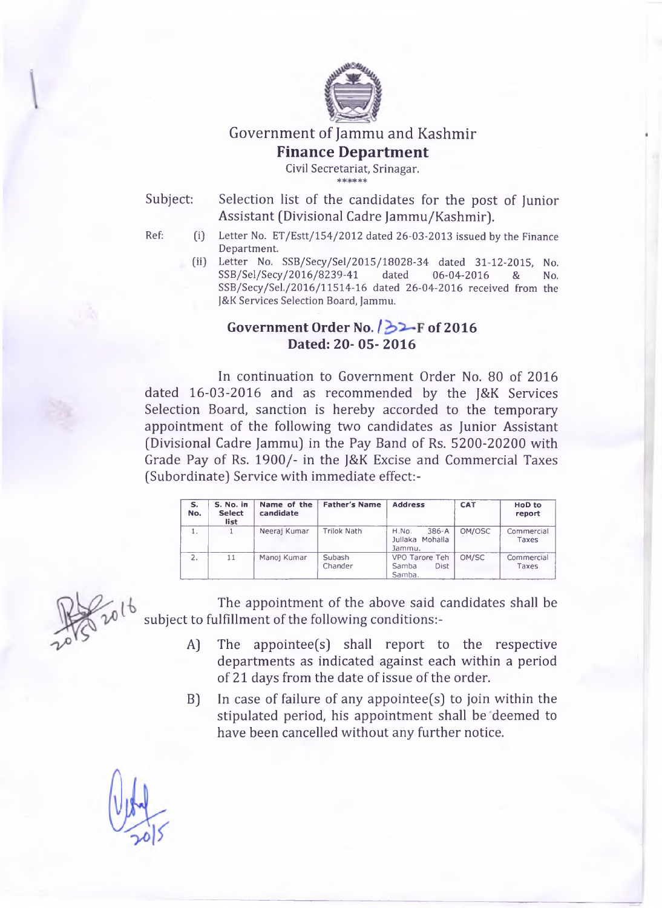

# **Government of Jammu and Kashmir Finance Department**

**Civil Secretariat, Srinagar.**

afc sje jJc % s|c

Subject: Selection list of the candidates for the post of Junior Assistant (Divisional Cadre Jammu/Kashmir).

- 
- **Ref: (i) Letter No. ET/Estt/154/2012 dated 26-03-2013 issued by the Finance Department.**
	- **[ii) Letter No. SSB/Secy/Sel/2015/18028-34 dated 31-12-2015, No. SSB/Sel/Secy/2016/8239-41 dated 06-04-2016 & No. SSB/Secy/Sel./2016/11514-16 dated 26-04-2016 received from the J&K Services Selection Board, Jammu.**

# **Government Order No.** *f* **of 2016 Dated: 20- 05- 2016**

In continuation to Government Order No. 80 of 2016 dated 16-03-2016 and as recommended by the J&K Services Selection Board, sanction is hereby accorded to the temporary appointment of the following two candidates as Junior Assistant (Divisional Cadre Jammu) in the Pay Band of Rs. 5200-20200 with Grade Pay of Rs. 1900/- in the J&K Excise and Commercial Taxes (Subordinate) Service with immediate effect:-

| s.<br>No. | S. No. in<br><b>Select</b><br>list | Name of the<br>candidate | <b>Father's Name</b> | <b>Address</b>                                | <b>CAT</b> | HoD to<br>report    |
|-----------|------------------------------------|--------------------------|----------------------|-----------------------------------------------|------------|---------------------|
| 1.        |                                    | Neerai Kumar             | Trilok Nath          | H.No.<br>$386-A$<br>Jullaka Mohalla<br>Jammu. | OM/OSC     | Commercial<br>Taxes |
| 2.        | 11                                 | Manoi Kumar              | Subash<br>Chander    | VPO Tarore Teh<br>Dist<br>Samba<br>Samba.     | OM/SC      | Commercial<br>Taxes |

The appointment of the above said candidates shall be subject to fulfillment of the following conditions:-

- A) The appointee(s) shall report to the respective departments as indicated against each within a period of 21 days from the date of issue of the order.
- B) In case of failure of any appointee(s) to join within the stipulated period, his appointment shall be deemed to have been cancelled without any further notice.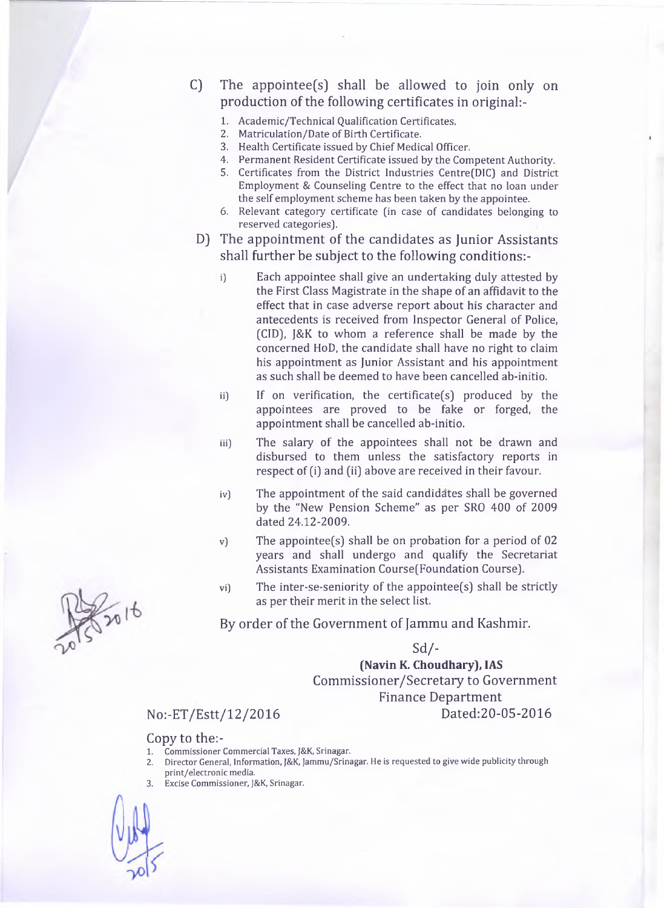C) The appointee(s] shall be allowed to join only on production of the following certificates in original:-

- **1. Academic/Technical Qualification Certificates.**
- **2. Matriculation/Date of Birth Certificate.**
- **3. Health Certificate issued by Chief Medical Officer.**
- **4. Permanent Resident Certificate issued by the Competent Authority. 5. Certificates from the District Industries Centre(DIC) and District**
- **Employment & Counseling Centre to the effect that no loan under the self employment scheme has been taken by the appointee.**
- **6. Relevant category certificate [in case of candidates belonging to reserved categories).**
- D) The appointment of the candidates as Junior Assistants shall further be subject to the following conditions:
	- **i) Each appointee shall give an undertaking duly attested by the First Class Magistrate in the shape of an affidavit to the effect that in case adverse report about his character and antecedents is received from Inspector General of Police, (CID), J&K to whom a reference shall be made by the concerned HoD, the candidate shall have no right to claim his appointment as Junior Assistant and his appointment as such shall be deemed to have been cancelled ab-initio.**
	- **ii) If on verification, the certificate(s) produced by the appointees are proved to be fake or forged, the appointment shall be cancelled ab-initio.**
	- **iii) The salary of the appointees shall not be drawn and disbursed to them unless the satisfactory reports in respect of (i) and (ii) above are received in their favour.**
	- **iv) The appointment of the said candidates shall be governed by the "New Pension Scheme" as per SRO 400 of 2009 dated 24.12-2009.**
	- **v) The appointee(s) shall be on probation for a period of 02 years and shall undergo and qualify the Secretariat Assistants Examination Course(Foundation Course).**
	- **vi) The inter-se-seniority of the appointee(s) shall be strictly as per their merit in the select list.**
	- By order of the Government of Jammu and Kashmir.

 $Sd$  /-

**(Navin K. Choudhary), IAS** Commissioner/Secretary to Government Finance Department No:-ET/Estt/12/2016 Dated:20-05-2016

### Copy to the:-

- **1. Commissioner Commercial Taxes, J&K, Srinagar.**
- **2. Director General, Information, J&K, Jammu/Srinagar. He is requested to give wide publicity through print/electronic media.**
- 3. **Excise Commissioner, J&K, Srinagar.**



 $\frac{2}{1016}$